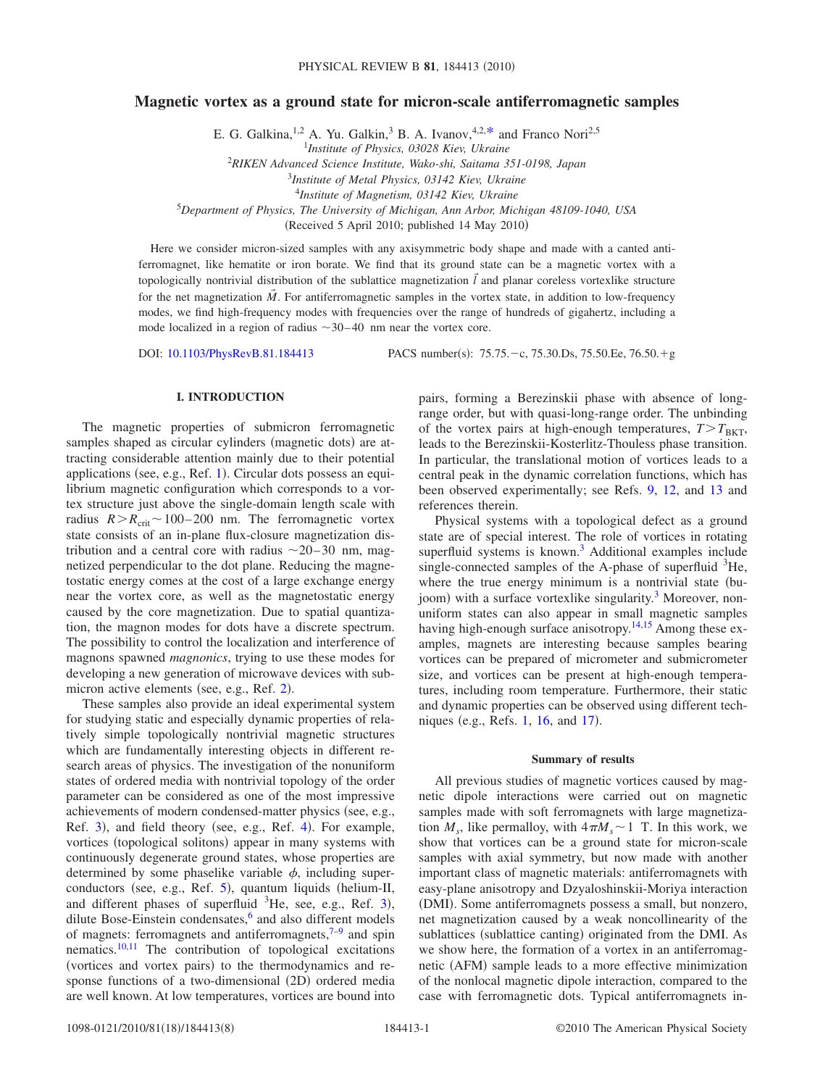# **Magnetic vortex as a ground state for micron-scale antiferromagnetic samples**

E. G. Galkina,<sup>1,2</sup> A. Yu. Galkin,<sup>3</sup> B. A. Ivanov,<sup>4,2[,\\*](#page-6-0)</sup> and Franco Nori<sup>2,5</sup>

1 *Institute of Physics, 03028 Kiev, Ukraine*

2 *RIKEN Advanced Science Institute, Wako-shi, Saitama 351-0198, Japan*

<sup>3</sup>*Institute of Metal Physics, 03142 Kiev, Ukraine*

<sup>4</sup>*Institute of Magnetism, 03142 Kiev, Ukraine*

5 *Department of Physics, The University of Michigan, Ann Arbor, Michigan 48109-1040, USA*

(Received 5 April 2010; published  $14$  May 2010)

Here we consider micron-sized samples with any axisymmetric body shape and made with a canted antiferromagnet, like hematite or iron borate. We find that its ground state can be a magnetic vortex with a topologically nontrivial distribution of the sublattice magnetization  $\vec{l}$  and planar coreless vortexlike structure for the net magnetization  $\vec{M}$ . For antiferromagnetic samples in the vortex state, in addition to low-frequency modes, we find high-frequency modes with frequencies over the range of hundreds of gigahertz, including a mode localized in a region of radius  $\sim$ 30–40 nm near the vortex core.

DOI: [10.1103/PhysRevB.81.184413](http://dx.doi.org/10.1103/PhysRevB.81.184413)

:  $75.75 - c$ ,  $75.30 \text{.}Ds$ ,  $75.50 \text{.}Ee$ ,  $76.50 + g$ 

## **I. INTRODUCTION**

The magnetic properties of submicron ferromagnetic samples shaped as circular cylinders (magnetic dots) are attracting considerable attention mainly due to their potential applications (see, e.g., Ref. [1](#page-6-1)). Circular dots possess an equilibrium magnetic configuration which corresponds to a vortex structure just above the single-domain length scale with radius  $R > R_{\text{crit}} \sim 100-200$  nm. The ferromagnetic vortex state consists of an in-plane flux-closure magnetization distribution and a central core with radius  $\sim$  20–30 nm, magnetized perpendicular to the dot plane. Reducing the magnetostatic energy comes at the cost of a large exchange energy near the vortex core, as well as the magnetostatic energy caused by the core magnetization. Due to spatial quantization, the magnon modes for dots have a discrete spectrum. The possibility to control the localization and interference of magnons spawned *magnonics*, trying to use these modes for developing a new generation of microwave devices with sub-micron active elements (see, e.g., Ref. [2](#page-6-2)).

These samples also provide an ideal experimental system for studying static and especially dynamic properties of relatively simple topologically nontrivial magnetic structures which are fundamentally interesting objects in different research areas of physics. The investigation of the nonuniform states of ordered media with nontrivial topology of the order parameter can be considered as one of the most impressive achievements of modern condensed-matter physics (see, e.g., Ref. [3](#page-6-3)), and field theory (see, e.g., Ref. [4](#page-6-4)). For example, vortices (topological solitons) appear in many systems with continuously degenerate ground states, whose properties are determined by some phaselike variable  $\phi$ , including super-conductors (see, e.g., Ref. [5](#page-6-5)), quantum liquids (helium-II, and different phases of superfluid  ${}^{3}$  ${}^{3}$  ${}^{3}$ He, see, e.g., Ref. 3), dilute Bose-Einstein condensates,<sup>6</sup> and also different models of magnets: ferromagnets and antiferromagnets, $7-9$  and spin nematics. $10,11$  $10,11$  The contribution of topological excitations (vortices and vortex pairs) to the thermodynamics and response functions of a two-dimensional (2D) ordered media are well known. At low temperatures, vortices are bound into

pairs, forming a Berezinskii phase with absence of longrange order, but with quasi-long-range order. The unbinding of the vortex pairs at high-enough temperatures,  $T>T_{BKT}$ , leads to the Berezinskii-Kosterlitz-Thouless phase transition. In particular, the translational motion of vortices leads to a central peak in the dynamic correlation functions, which has been observed experimentally; see Refs. [9,](#page-7-1) [12,](#page-7-4) and [13](#page-7-5) and references therein.

Physical systems with a topological defect as a ground state are of special interest. The role of vortices in rotating superfluid systems is known.<sup>3</sup> Additional examples include single-connected samples of the A-phase of superfluid  ${}^{3}$ He, where the true energy minimum is a nontrivial state (bujoom) with a surface vortexlike singularity.<sup>3</sup> Moreover, nonuniform states can also appear in small magnetic samples having high-enough surface anisotropy.<sup>14[,15](#page-7-7)</sup> Among these examples, magnets are interesting because samples bearing vortices can be prepared of micrometer and submicrometer size, and vortices can be present at high-enough temperatures, including room temperature. Furthermore, their static and dynamic properties can be observed using different tech-niques (e.g., Refs. [1,](#page-6-1) [16,](#page-7-8) and [17](#page-7-9)).

## **Summary of results**

All previous studies of magnetic vortices caused by magnetic dipole interactions were carried out on magnetic samples made with soft ferromagnets with large magnetization  $M_s$ , like permalloy, with  $4\pi M_s \sim 1$  T. In this work, we show that vortices can be a ground state for micron-scale samples with axial symmetry, but now made with another important class of magnetic materials: antiferromagnets with easy-plane anisotropy and Dzyaloshinskii-Moriya interaction (DMI). Some antiferromagnets possess a small, but nonzero, net magnetization caused by a weak noncollinearity of the sublattices (sublattice canting) originated from the DMI. As we show here, the formation of a vortex in an antiferromagnetic (AFM) sample leads to a more effective minimization of the nonlocal magnetic dipole interaction, compared to the case with ferromagnetic dots. Typical antiferromagnets in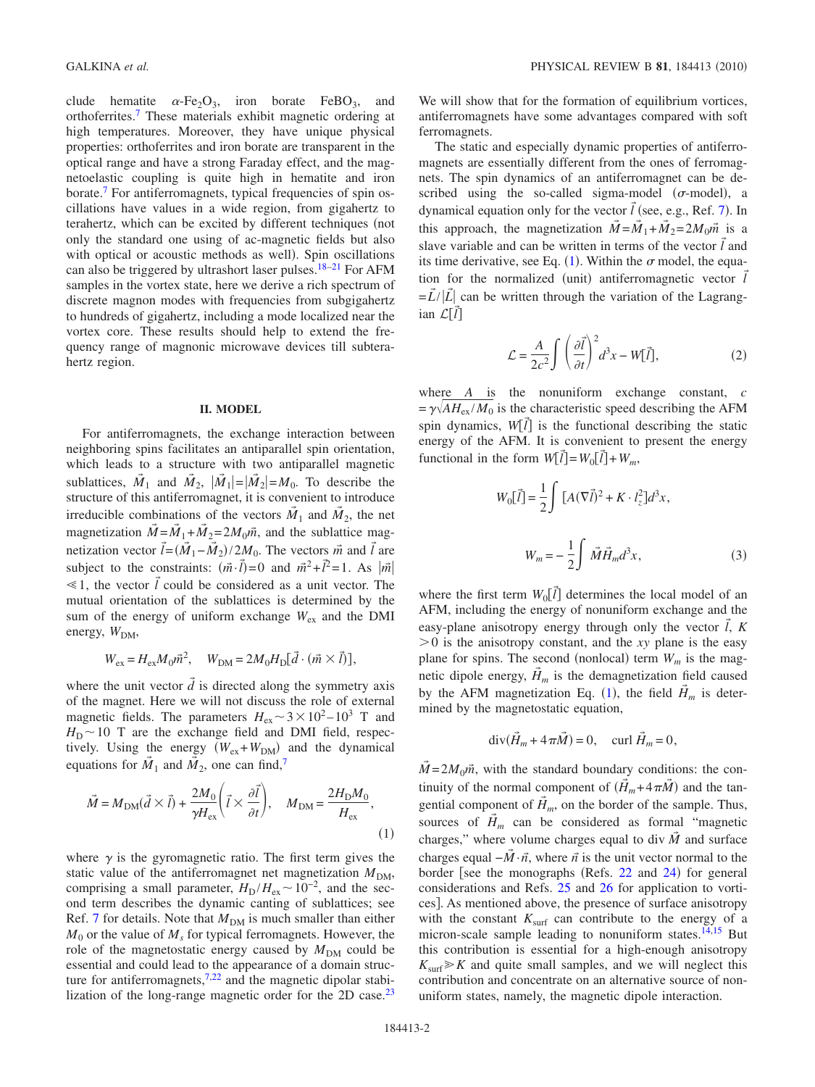clude hematite  $\alpha$ -Fe<sub>2</sub>O<sub>3</sub>, iron borate FeBO<sub>3</sub>, and orthoferrites[.7](#page-7-0) These materials exhibit magnetic ordering at high temperatures. Moreover, they have unique physical properties: orthoferrites and iron borate are transparent in the optical range and have a strong Faraday effect, and the magnetoelastic coupling is quite high in hematite and iron borate[.7](#page-7-0) For antiferromagnets, typical frequencies of spin oscillations have values in a wide region, from gigahertz to terahertz, which can be excited by different techniques (not only the standard one using of ac-magnetic fields but also with optical or acoustic methods as well). Spin oscillations can also be triggered by ultrashort laser pulses.<sup>18[–21](#page-7-11)</sup> For AFM samples in the vortex state, here we derive a rich spectrum of discrete magnon modes with frequencies from subgigahertz to hundreds of gigahertz, including a mode localized near the vortex core. These results should help to extend the frequency range of magnonic microwave devices till subterahertz region.

#### **II. MODEL**

For antiferromagnets, the exchange interaction between neighboring spins facilitates an antiparallel spin orientation, which leads to a structure with two antiparallel magnetic sublattices,  $\vec{M}_1$  and  $\vec{M}_2$ ,  $|\vec{M}_1| = |\vec{M}_2| = M_0$ . To describe the structure of this antiferromagnet, it is convenient to introduce irreducible combinations of the vectors  $\vec{M}_1$  and  $\vec{M}_2$ , the net magnetization  $\vec{M} = \vec{M}_1 + \vec{M}_2 = 2M_0\vec{m}$ , and the sublattice magnetization vector  $\vec{l} = (\vec{M}_1 - \vec{M}_2)/2M_0$ . The vectors  $\vec{m}$  and  $\vec{l}$  are subject to the constraints:  $(\vec{m} \cdot \vec{l}) = 0$  and  $\vec{m}^2 + \vec{l}^2 = 1$ . As  $|\vec{m}|$  $\leq 1$ , the vector  $\vec{l}$  could be considered as a unit vector. The mutual orientation of the sublattices is determined by the sum of the energy of uniform exchange  $W_{ex}$  and the DMI energy,  $W_{DM}$ ,

$$
W_{\rm ex} = H_{\rm ex} M_0 \vec{m}^2, \quad W_{\rm DM} = 2M_0 H_{\rm D} [\vec{d} \cdot (\vec{m} \times \vec{l})],
$$

where the unit vector  $\tilde{d}$  is directed along the symmetry axis of the magnet. Here we will not discuss the role of external magnetic fields. The parameters  $H_{\text{ex}} \sim 3 \times 10^2 - 10^3$  T and  $H_D \sim 10$  T are the exchange field and DMI field, respectively. Using the energy  $(W_{ex} + W_{DM})$  and the dynamical equations for  $\vec{M}_1$  and  $\vec{M}_2$ , one can find,<sup>7</sup>

<span id="page-1-0"></span>
$$
\vec{M} = M_{\rm DM}(\vec{d} \times \vec{l}) + \frac{2M_0}{\gamma H_{\rm ex}} \left( \vec{l} \times \frac{\partial \vec{l}}{\partial t} \right), \quad M_{\rm DM} = \frac{2H_{\rm D}M_0}{H_{\rm ex}},\tag{1}
$$

where  $\gamma$  is the gyromagnetic ratio. The first term gives the static value of the antiferromagnet net magnetization  $M_{DM}$ , comprising a small parameter,  $H_D/H_{ex} \sim 10^{-2}$ , and the second term describes the dynamic canting of sublattices; see Ref. [7](#page-7-0) for details. Note that  $M_{DM}$  is much smaller than either  $M<sub>0</sub>$  or the value of  $M<sub>s</sub>$  for typical ferromagnets. However, the role of the magnetostatic energy caused by  $M_{DM}$  could be essential and could lead to the appearance of a domain structure for antiferromagnets, $7.22$  and the magnetic dipolar stabilization of the long-range magnetic order for the 2D case. $^{23}$  We will show that for the formation of equilibrium vortices, antiferromagnets have some advantages compared with soft ferromagnets.

The static and especially dynamic properties of antiferromagnets are essentially different from the ones of ferromagnets. The spin dynamics of an antiferromagnet can be described using the so-called sigma-model  $(\sigma$ -model), a dynamical equation only for the vector  $\tilde{l}$  (see, e.g., Ref. [7](#page-7-0)). In this approach, the magnetization  $\vec{M} = \vec{M}_1 + \vec{M}_2 = 2M_0\vec{m}$  is a slave variable and can be written in terms of the vector  $\vec{l}$  and its time derivative, see Eq.  $(1)$  $(1)$  $(1)$ . Within the  $\sigma$  model, the equation for the normalized (unit) antiferromagnetic vector  $\vec{l}$  $= \tilde{L}/|\tilde{L}|$  can be written through the variation of the Lagrangian  $\mathcal{L}[\vec{l}]$ 

$$
\mathcal{L} = \frac{A}{2c^2} \int \left(\frac{\partial \vec{l}}{\partial t}\right)^2 d^3x - W[\vec{l}],
$$
 (2)

<span id="page-1-1"></span>where *A* is the nonuniform exchange constant, *c*  $=\gamma\sqrt{AH_{\rm ex}/M_0}$  is the characteristic speed describing the AFM spin dynamics,  $W[\vec{l}]$  is the functional describing the static energy of the AFM. It is convenient to present the energy functional in the form  $W[\vec{l}] = W_0[\vec{l}] + W_m$ ,

<span id="page-1-2"></span>
$$
W_0[\vec{l}] = \frac{1}{2} \int \left[ A(\nabla \vec{l})^2 + K \cdot l_z^2 \right] d^3 x,
$$
  

$$
W_m = -\frac{1}{2} \int \vec{M} \vec{H}_m d^3 x,
$$
 (3)

where the first term  $W_0[\vec{l}]$  determines the local model of an AFM, including the energy of nonuniform exchange and the easy-plane anisotropy energy through only the vector  $\vec{l}$ ,  $\vec{k}$  $> 0$  is the anisotropy constant, and the *xy* plane is the easy plane for spins. The second (nonlocal) term  $W_m$  is the magnetic dipole energy,  $\vec{H}_m$  is the demagnetization field caused by the AFM magnetization Eq. ([1](#page-1-0)), the field  $\vec{H}_m$  is determined by the magnetostatic equation,

$$
\operatorname{div}(\vec{H}_m + 4\pi \vec{M}) = 0, \quad \text{curl } \vec{H}_m = 0,
$$

 $M = 2M_0\vec{m}$ , with the standard boundary conditions: the continuity of the normal component of  $(\vec{H}_m + 4\pi\vec{M})$  and the tangential component of  $\tilde{H}_m$ , on the border of the sample. Thus, sources of  $\vec{H}_m$  can be considered as formal "magnetic charges," where volume charges equal to div  $\vec{M}$  and surface charges equal  $-\vec{M} \cdot \vec{n}$ , where  $\vec{n}$  is the unit vector normal to the border [see the monographs (Refs. [22](#page-7-12) and [24](#page-7-14)) for general considerations and Refs. [25](#page-7-15) and [26](#page-7-16) for application to vortices]. As mentioned above, the presence of surface anisotropy with the constant  $K<sub>surf</sub>$  can contribute to the energy of a micron-scale sample leading to nonuniform states.<sup>14,[15](#page-7-7)</sup> But this contribution is essential for a high-enough anisotropy  $K_{\text{surf}} \geq K$  and quite small samples, and we will neglect this contribution and concentrate on an alternative source of nonuniform states, namely, the magnetic dipole interaction.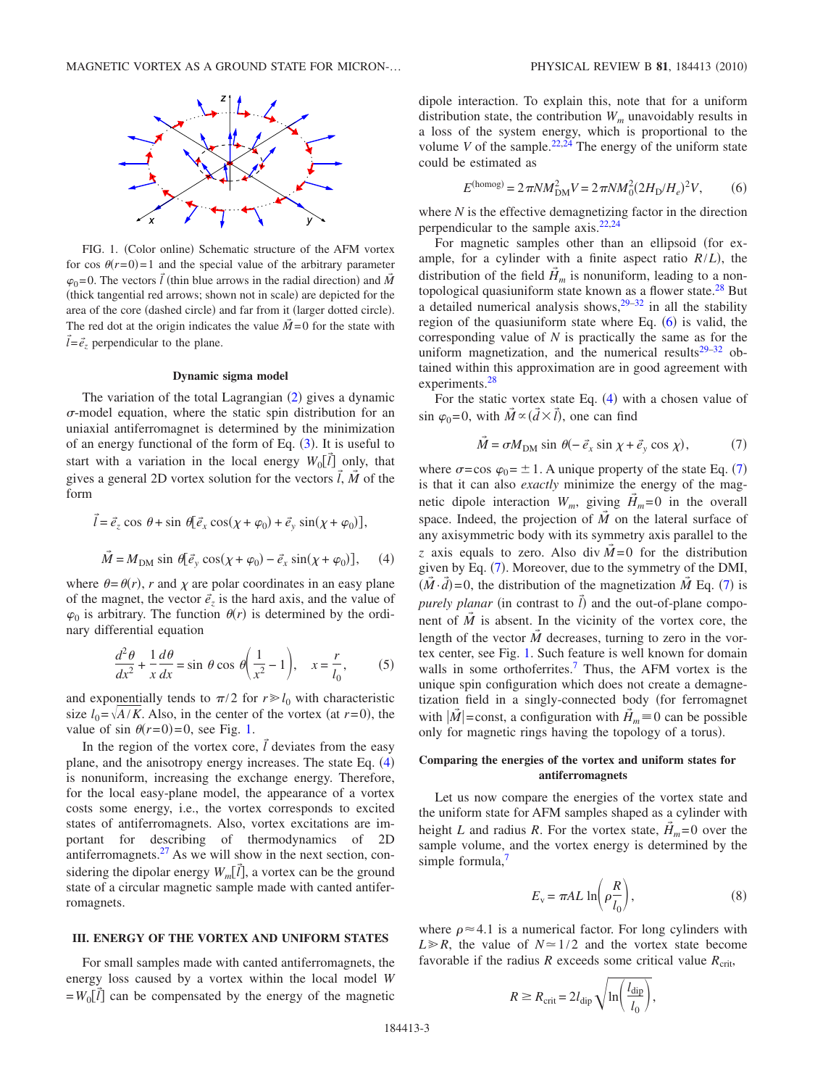<span id="page-2-0"></span>

FIG. 1. (Color online) Schematic structure of the AFM vortex for cos  $\theta(r=0)=1$  and the special value of the arbitrary parameter  $\varphi_0$ =0. The vectors  $\vec{l}$  (thin blue arrows in the radial direction) and  $\vec{M}$ (thick tangential red arrows; shown not in scale) are depicted for the area of the core (dashed circle) and far from it (larger dotted circle). The red dot at the origin indicates the value  $\vec{M} = 0$  for the state with  $\vec{l} = \vec{e}_z$  perpendicular to the plane.

#### **Dynamic sigma model**

The variation of the total Lagrangian  $(2)$  $(2)$  $(2)$  gives a dynamic  $\sigma$ -model equation, where the static spin distribution for an uniaxial antiferromagnet is determined by the minimization of an energy functional of the form of Eq.  $(3)$  $(3)$  $(3)$ . It is useful to start with a variation in the local energy  $W_0[\vec{l}]$  only, that gives a general 2D vortex solution for the vectors  $\vec{l}$ ,  $\vec{M}$  of the form

<span id="page-2-1"></span>
$$
\vec{l} = \vec{e}_z \cos \theta + \sin \theta [\vec{e}_x \cos(\chi + \varphi_0) + \vec{e}_y \sin(\chi + \varphi_0)],
$$
  

$$
\vec{M} = M_{\text{DM}} \sin \theta [\vec{e}_y \cos(\chi + \varphi_0) - \vec{e}_x \sin(\chi + \varphi_0)], \quad (4)
$$

where  $\theta = \theta(r)$ , *r* and  $\chi$  are polar coordinates in an easy plane of the magnet, the vector  $\vec{e}_z$  is the hard axis, and the value of  $\varphi_0$  is arbitrary. The function  $\theta(r)$  is determined by the ordinary differential equation

$$
\frac{d^2\theta}{dx^2} + \frac{1}{x}\frac{d\theta}{dx} = \sin\theta\cos\theta\left(\frac{1}{x^2} - 1\right), \quad x = \frac{r}{l_0},\tag{5}
$$

<span id="page-2-4"></span>and exponentially tends to  $\pi/2$  for  $r \ge l_0$  with characteristic size  $l_0 = \sqrt{A/K}$ . Also, in the center of the vortex (at  $r=0$ ), the value of sin  $\theta(r=0)=0$ , see Fig. [1.](#page-2-0)

In the region of the vortex core,  $\vec{l}$  deviates from the easy plane, and the anisotropy energy increases. The state Eq. ([4](#page-2-1)) is nonuniform, increasing the exchange energy. Therefore, for the local easy-plane model, the appearance of a vortex costs some energy, i.e., the vortex corresponds to excited states of antiferromagnets. Also, vortex excitations are important for describing of thermodynamics of 2D antiferromagnets. $27$  As we will show in the next section, considering the dipolar energy  $W_m[\vec{l}]$ , a vortex can be the ground state of a circular magnetic sample made with canted antiferromagnets.

## **III. ENERGY OF THE VORTEX AND UNIFORM STATES**

For small samples made with canted antiferromagnets, the energy loss caused by a vortex within the local model *W*  $= W_0[\vec{l}]$  can be compensated by the energy of the magnetic

dipole interaction. To explain this, note that for a uniform distribution state, the contribution  $W_m$  unavoidably results in a loss of the system energy, which is proportional to the volume *V* of the sample.<sup>22,[24](#page-7-14)</sup> The energy of the uniform state could be estimated as

$$
E^{(\text{homog})} = 2\pi N M_{\text{DM}}^2 V = 2\pi N M_0^2 (2H_{\text{D}}/H_e)^2 V,\tag{6}
$$

<span id="page-2-2"></span>where *N* is the effective demagnetizing factor in the direction perpendicular to the sample axis[.22,](#page-7-12)[24](#page-7-14)

For magnetic samples other than an ellipsoid for example, for a cylinder with a finite aspect ratio  $R/L$ ), the distribution of the field  $\vec{H}_m$  is nonuniform, leading to a nontopological quasiuniform state known as a flower state.<sup>28</sup> But a detailed numerical analysis shows,  $29-32$  $29-32$  in all the stability region of the quasiuniform state where Eq.  $(6)$  $(6)$  $(6)$  is valid, the corresponding value of *N* is practically the same as for the uniform magnetization, and the numerical results $29-32$  obtained within this approximation are in good agreement with experiments[.28](#page-7-18)

For the static vortex state Eq.  $(4)$  $(4)$  $(4)$  with a chosen value of  $\sin \varphi_0 = 0$ , with  $\vec{M} \propto (\vec{d} \times \vec{l})$ , one can find

$$
\vec{M} = \sigma M_{\text{DM}} \sin \theta (-\vec{e}_x \sin \chi + \vec{e}_y \cos \chi), \tag{7}
$$

<span id="page-2-3"></span>where  $\sigma = \cos \varphi_0 = \pm 1$ . A unique property of the state Eq. ([7](#page-2-3)) is that it can also *exactly* minimize the energy of the magnetic dipole interaction  $W_m$ , giving  $\vec{H}_m = 0$  in the overall space. Indeed, the projection of  $\vec{M}$  on the lateral surface of any axisymmetric body with its symmetry axis parallel to the *z* axis equals to zero. Also div  $\overline{M} = 0$  for the distribution given by Eq. ([7](#page-2-3)). Moreover, due to the symmetry of the DMI,  $(\vec{M} \cdot \vec{d}) = 0$ , the distribution of the magnetization  $\vec{M}$  Eq. ([7](#page-2-3)) is *purely planar* (in contrast to  $\vec{l}$ ) and the out-of-plane component of  $\tilde{M}$  is absent. In the vicinity of the vortex core, the length of the vector  $\vec{M}$  decreases, turning to zero in the vortex center, see Fig. [1.](#page-2-0) Such feature is well known for domain walls in some orthoferrites.<sup>7</sup> Thus, the AFM vortex is the unique spin configuration which does not create a demagnetization field in a singly-connected body for ferromagnet with  $|\tilde{M}|$  = const, a configuration with  $\tilde{H}_m$  = 0 can be possible only for magnetic rings having the topology of a torus).

## **Comparing the energies of the vortex and uniform states for antiferromagnets**

Let us now compare the energies of the vortex state and the uniform state for AFM samples shaped as a cylinder with height *L* and radius *R*. For the vortex state,  $\tilde{H}_m = 0$  over the sample volume, and the vortex energy is determined by the simple formula, $7$ 

$$
E_{\rm v} = \pi A L \ln \left( \rho \frac{R}{l_0} \right),\tag{8}
$$

where  $\rho \approx 4.1$  is a numerical factor. For long cylinders with  $L \ge R$ , the value of  $N \approx 1/2$  and the vortex state become favorable if the radius *R* exceeds some critical value  $R_{\text{crit}}$ ,

$$
R \ge R_{\rm crit} = 2l_{\rm dip} \sqrt{\ln\left(\frac{l_{\rm dip}}{l_0}\right)},
$$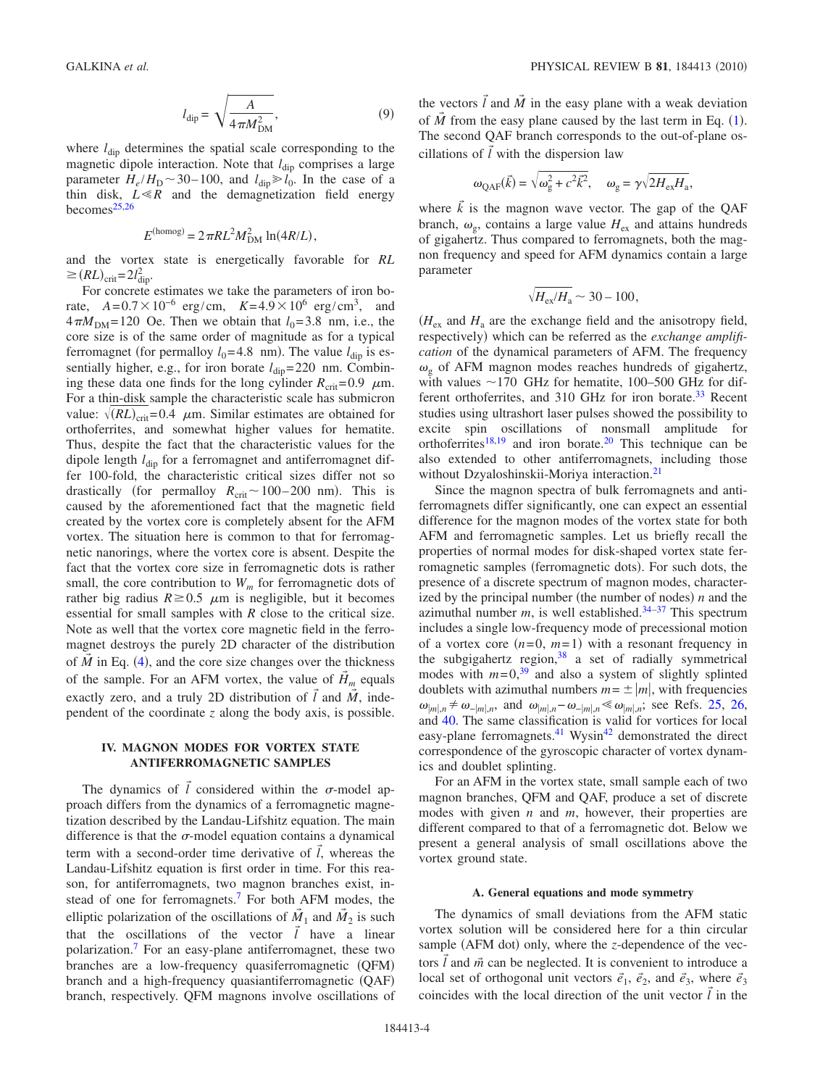$$
l_{\rm dip} = \sqrt{\frac{A}{4\pi M_{\rm DM}^2}},\tag{9}
$$

where  $l_{\text{dip}}$  determines the spatial scale corresponding to the magnetic dipole interaction. Note that  $l_{\text{dip}}$  comprises a large parameter  $H_e/H_\text{D} \sim 30-100$ , and  $l_{\text{dip}} \ge l_0$ . In the case of a thin disk,  $\overline{L} \ll \overline{R}$  and the demagnetization field energy becomes $25,26$  $25,26$ 

$$
E^{\text{(homog)}} = 2\pi R L^2 M_{\text{DM}}^2 \ln(4R/L),
$$

and the vortex state is energetically favorable for *RL*  $\geq (RL)_{\text{crit}} = 2l_{\text{dip}}^2$ .

For concrete estimates we take the parameters of iron borate,  $A = 0.7 \times 10^{-6}$  erg/cm,  $K = 4.9 \times 10^{6}$  erg/cm<sup>3</sup>, and  $4\pi M_{\text{DM}}$ = 120 Oe. Then we obtain that  $l_0$ = 3.8 nm, i.e., the core size is of the same order of magnitude as for a typical ferromagnet (for permalloy  $l_0$ =4.8 nm). The value  $l_{\text{dip}}$  is essentially higher, e.g., for iron borate  $l_{\text{dip}}$ = 220 nm. Combining these data one finds for the long cylinder  $R_{\text{crit}} = 0.9 \mu \text{m}$ . For a thin-disk sample the characteristic scale has submicron value:  $\sqrt{(RL)_{\text{crit}}}=0.4$   $\mu$ m. Similar estimates are obtained for orthoferrites, and somewhat higher values for hematite. Thus, despite the fact that the characteristic values for the dipole length *l*<sub>dip</sub> for a ferromagnet and antiferromagnet differ 100-fold, the characteristic critical sizes differ not so drastically (for permalloy  $R_{\text{crit}} \sim 100-200 \text{ nm}$ ). This is caused by the aforementioned fact that the magnetic field created by the vortex core is completely absent for the AFM vortex. The situation here is common to that for ferromagnetic nanorings, where the vortex core is absent. Despite the fact that the vortex core size in ferromagnetic dots is rather small, the core contribution to  $W_m$  for ferromagnetic dots of rather big radius  $R \ge 0.5$   $\mu$ m is negligible, but it becomes essential for small samples with *R* close to the critical size. Note as well that the vortex core magnetic field in the ferromagnet destroys the purely 2D character of the distribution of  $\vec{M}$  in Eq. ([4](#page-2-1)), and the core size changes over the thickness of the sample. For an AFM vortex, the value of  $H_m$  equals exactly zero, and a truly 2D distribution of  $\vec{l}$  and  $\vec{M}$ , independent of the coordinate *z* along the body axis, is possible.

## **IV. MAGNON MODES FOR VORTEX STATE ANTIFERROMAGNETIC SAMPLES**

The dynamics of  $\vec{l}$  considered within the  $\sigma$ -model approach differs from the dynamics of a ferromagnetic magnetization described by the Landau-Lifshitz equation. The main difference is that the  $\sigma$ -model equation contains a dynamical term with a second-order time derivative of  $\vec{l}$ , whereas the Landau-Lifshitz equation is first order in time. For this reason, for antiferromagnets, two magnon branches exist, instead of one for ferromagnets[.7](#page-7-0) For both AFM modes, the elliptic polarization of the oscillations of  $\tilde{M}_1$  and  $\tilde{M}_2$  is such that the oscillations of the vector  $\vec{l}$  have a linear polarization[.7](#page-7-0) For an easy-plane antiferromagnet, these two branches are a low-frequency quasiferromagnetic (QFM) branch and a high-frequency quasiantiferromagnetic (QAF) branch, respectively. QFM magnons involve oscillations of

the vectors  $\vec{l}$  and  $\vec{M}$  in the easy plane with a weak deviation of  $\tilde{M}$  from the easy plane caused by the last term in Eq. ([1](#page-1-0)). The second QAF branch corresponds to the out-of-plane oscillations of  $\vec{l}$  with the dispersion law

$$
\omega_{\text{QAF}}(\vec{k}) = \sqrt{\omega_g^2 + c^2 \vec{k}^2}, \quad \omega_g = \gamma \sqrt{2H_{\text{ex}}H_a},
$$

where  $\vec{k}$  is the magnon wave vector. The gap of the QAF branch,  $\omega_{\rm g}$ , contains a large value  $H_{\rm ex}$  and attains hundreds of gigahertz. Thus compared to ferromagnets, both the magnon frequency and speed for AFM dynamics contain a large parameter

$$
\sqrt{H_{\rm ex}/H_{\rm a}} \sim 30-100,
$$

 $(H_{\rm ex}$  and  $H_{\rm a}$  are the exchange field and the anisotropy field, respectively) which can be referred as the *exchange amplification* of the dynamical parameters of AFM. The frequency  $\omega_{\rm o}$  of AFM magnon modes reaches hundreds of gigahertz, with values  $\sim$  170 GHz for hematite, 100–500 GHz for different orthoferrites, and 310 GHz for iron borate.<sup>33</sup> Recent studies using ultrashort laser pulses showed the possibility to excite spin oscillations of nonsmall amplitude for orthoferrites<sup>18[,19](#page-7-22)</sup> and iron borate.<sup>20</sup> This technique can be also extended to other antiferromagnets, including those without Dzyaloshinskii-Moriya interaction.<sup>21</sup>

Since the magnon spectra of bulk ferromagnets and antiferromagnets differ significantly, one can expect an essential difference for the magnon modes of the vortex state for both AFM and ferromagnetic samples. Let us briefly recall the properties of normal modes for disk-shaped vortex state ferromagnetic samples (ferromagnetic dots). For such dots, the presence of a discrete spectrum of magnon modes, characterized by the principal number (the number of nodes)  $n$  and the azimuthal number  $m$ , is well established.<sup>34-[37](#page-7-25)</sup> This spectrum includes a single low-frequency mode of precessional motion of a vortex core  $(n=0, m=1)$  with a resonant frequency in the subgigahertz region,  $38$  a set of radially symmetrical modes with  $m=0,39$  $m=0,39$  and also a system of slightly splinted doublets with azimuthal numbers  $m = \pm |m|$ , with frequencies  $\omega_{|m|,n}$  ≠  $\omega_{-|m|,n}$ , and  $\omega_{|m|,n} - \omega_{-|m|,n} \le \omega_{|m|,n}$ ; see Refs. [25,](#page-7-15) [26,](#page-7-16) and [40.](#page-7-28) The same classification is valid for vortices for local easy-plane ferromagnets.<sup>41</sup> Wysin<sup>42</sup> demonstrated the direct correspondence of the gyroscopic character of vortex dynamics and doublet splinting.

For an AFM in the vortex state, small sample each of two magnon branches, QFM and QAF, produce a set of discrete modes with given *n* and *m*, however, their properties are different compared to that of a ferromagnetic dot. Below we present a general analysis of small oscillations above the vortex ground state.

## **A. General equations and mode symmetry**

The dynamics of small deviations from the AFM static vortex solution will be considered here for a thin circular sample (AFM dot) only, where the *z*-dependence of the vectors  $\vec{l}$  and  $\vec{m}$  can be neglected. It is convenient to introduce a local set of orthogonal unit vectors  $\vec{e}_1$ ,  $\vec{e}_2$ , and  $\vec{e}_3$ , where  $\vec{e}_3$ coincides with the local direction of the unit vector  $\vec{l}$  in the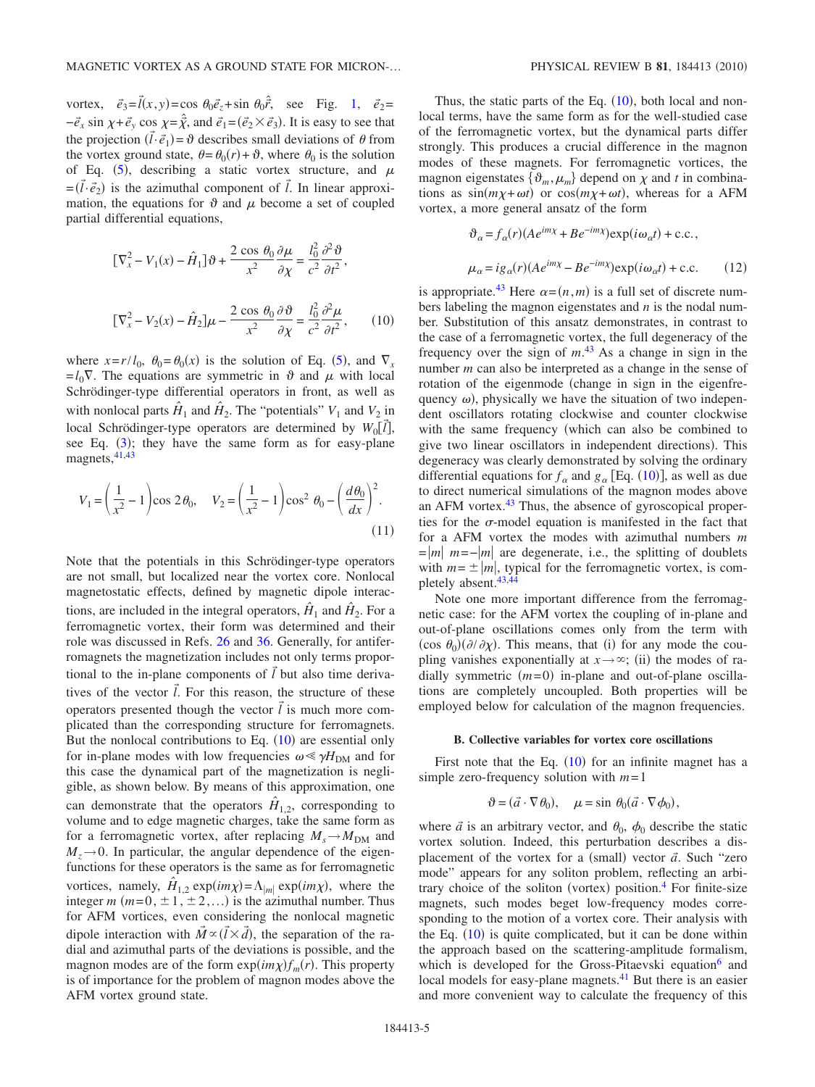vortex,  $\vec{e}_3 = \vec{l}(x, y) = \cos \theta_0 \vec{e}_z + \sin \theta_0 \hat{r}$ , see Fig. [1,](#page-2-0)  $\vec{e}_2 =$  $-\vec{e}_x \sin \chi + \vec{e}_y \cos \chi = \hat{\vec{\chi}}$ , and  $\vec{e}_1 = (\vec{e}_2 \times \vec{e}_3)$ . It is easy to see that the projection  $(\vec{l} \cdot \vec{e}_1) = \vartheta$  describes small deviations of  $\theta$  from the vortex ground state,  $\theta = \theta_0(r) + \vartheta$ , where  $\theta_0$  is the solution of Eq. ([5](#page-2-4)), describing a static vortex structure, and  $\mu$  $=$   $(\tilde{l} \cdot \vec{e}_2)$  is the azimuthal component of  $\tilde{l}$ . In linear approximation, the equations for  $\vartheta$  and  $\mu$  become a set of coupled partial differential equations,

<span id="page-4-0"></span>
$$
[\nabla_x^2 - V_1(x) - \hat{H}_1] \partial + \frac{2 \cos \theta_0}{x^2} \frac{\partial \mu}{\partial \chi} = \frac{l_0^2}{c^2} \frac{\partial^2 \partial}{\partial t^2},
$$
  

$$
[\nabla_x^2 - V_2(x) - \hat{H}_2] \mu - \frac{2 \cos \theta_0}{x^2} \frac{\partial \partial}{\partial \chi} = \frac{l_0^2}{c^2} \frac{\partial^2 \mu}{\partial t^2},
$$
(10)

where  $x = r/l_0$ ,  $\theta_0 = \theta_0(x)$  is the solution of Eq. ([5](#page-2-4)), and  $\nabla_x$  $= l_0 \nabla$ . The equations are symmetric in  $\vartheta$  and  $\mu$  with local Schrödinger-type differential operators in front, as well as with nonlocal parts  $H_1$  and  $H_2$ . The "potentials"  $V_1$  and  $V_2$  in local Schrödinger-type operators are determined by  $W_0[\vec{l}]$ , see Eq.  $(3)$  $(3)$  $(3)$ ; they have the same form as for easy-plane magnets, <sup>41[,43](#page-7-31)</sup>

$$
V_1 = \left(\frac{1}{x^2} - 1\right) \cos 2\theta_0, \quad V_2 = \left(\frac{1}{x^2} - 1\right) \cos^2 \theta_0 - \left(\frac{d\theta_0}{dx}\right)^2.
$$
\n(11)

Note that the potentials in this Schrödinger-type operators are not small, but localized near the vortex core. Nonlocal magnetostatic effects, defined by magnetic dipole interactions, are included in the integral operators,  $\hat{H}_1$  and  $\hat{H}_2$ . For a ferromagnetic vortex, their form was determined and their role was discussed in Refs. [26](#page-7-16) and [36.](#page-7-32) Generally, for antiferromagnets the magnetization includes not only terms proportional to the in-plane components of  $\vec{l}$  but also time derivatives of the vector  $\vec{l}$ . For this reason, the structure of these operators presented though the vector  $\vec{l}$  is much more complicated than the corresponding structure for ferromagnets. But the nonlocal contributions to Eq.  $(10)$  $(10)$  $(10)$  are essential only for in-plane modes with low frequencies  $\omega \ll \gamma H_{\text{DM}}$  and for this case the dynamical part of the magnetization is negligible, as shown below. By means of this approximation, one can demonstrate that the operators  $\hat{H}_{1,2}$ , corresponding to volume and to edge magnetic charges, take the same form as for a ferromagnetic vortex, after replacing  $M_s \rightarrow M_{DM}$  and  $M<sub>z</sub>\rightarrow 0$ . In particular, the angular dependence of the eigenfunctions for these operators is the same as for ferromagnetic vortices, namely,  $\hat{H}_{1,2}$  exp $(im\chi) = \Lambda_{|m|}$  exp $(im\chi)$ , where the integer  $m$  ( $m=0, \pm 1, \pm 2,...$ ) is the azimuthal number. Thus for AFM vortices, even considering the nonlocal magnetic dipole interaction with  $\vec{M} \propto (\vec{l} \times \vec{d})$ , the separation of the radial and azimuthal parts of the deviations is possible, and the magnon modes are of the form  $exp(im\chi) f_m(r)$ . This property is of importance for the problem of magnon modes above the AFM vortex ground state.

Thus, the static parts of the Eq.  $(10)$  $(10)$  $(10)$ , both local and nonlocal terms, have the same form as for the well-studied case of the ferromagnetic vortex, but the dynamical parts differ strongly. This produces a crucial difference in the magnon modes of these magnets. For ferromagnetic vortices, the magnon eigenstates  $\{\vartheta_m, \mu_m\}$  depend on  $\chi$  and *t* in combinations as  $sin(m\chi + \omega t)$  or  $cos(m\chi + \omega t)$ , whereas for a AFM vortex, a more general ansatz of the form

$$
\vartheta_{\alpha} = f_{\alpha}(r)(Ae^{im\chi} + Be^{-im\chi}) \exp(i\omega_{\alpha}t) + \text{c.c.},
$$
  

$$
\mu_{\alpha} = ig_{\alpha}(r)(Ae^{im\chi} - Be^{-im\chi}) \exp(i\omega_{\alpha}t) + \text{c.c.}
$$
 (12)

is appropriate.<sup>43</sup> Here  $\alpha = (n,m)$  is a full set of discrete numbers labeling the magnon eigenstates and *n* is the nodal number. Substitution of this ansatz demonstrates, in contrast to the case of a ferromagnetic vortex, the full degeneracy of the frequency over the sign of *m*. [43](#page-7-31) As a change in sign in the number *m* can also be interpreted as a change in the sense of rotation of the eigenmode (change in sign in the eigenfrequency  $\omega$ ), physically we have the situation of two independent oscillators rotating clockwise and counter clockwise with the same frequency (which can also be combined to give two linear oscillators in independent directions). This degeneracy was clearly demonstrated by solving the ordinary differential equations for  $f_{\alpha}$  and  $g_{\alpha}$  [Eq. ([10](#page-4-0))], as well as due to direct numerical simulations of the magnon modes above an AFM vortex[.43](#page-7-31) Thus, the absence of gyroscopical properties for the  $\sigma$ -model equation is manifested in the fact that for a AFM vortex the modes with azimuthal numbers *m*  $=$   $|m|$   $m=-|m|$  are degenerate, i.e., the splitting of doublets with  $m = \pm |m|$ , typical for the ferromagnetic vortex, is com-pletely absent.<sup>43[,44](#page-7-33)</sup>

Note one more important difference from the ferromagnetic case: for the AFM vortex the coupling of in-plane and out-of-plane oscillations comes only from the term with  $(\cos \theta_0)(\partial/\partial \chi)$ . This means, that (i) for any mode the coupling vanishes exponentially at  $x \rightarrow \infty$ ; (ii) the modes of radially symmetric  $(m=0)$  in-plane and out-of-plane oscillations are completely uncoupled. Both properties will be employed below for calculation of the magnon frequencies.

#### **B. Collective variables for vortex core oscillations**

First note that the Eq.  $(10)$  $(10)$  $(10)$  for an infinite magnet has a simple zero-frequency solution with *m*= 1

$$
\vartheta = (\vec{a} \cdot \nabla \theta_0), \quad \mu = \sin \theta_0 (\vec{a} \cdot \nabla \phi_0),
$$

where  $\vec{a}$  is an arbitrary vector, and  $\theta_0$ ,  $\phi_0$  describe the static vortex solution. Indeed, this perturbation describes a displacement of the vortex for a (small) vector  $\vec{a}$ . Such "zero mode" appears for any soliton problem, reflecting an arbitrary choice of the soliton (vortex) position.<sup>4</sup> For finite-size magnets, such modes beget low-frequency modes corresponding to the motion of a vortex core. Their analysis with the Eq.  $(10)$  $(10)$  $(10)$  is quite complicated, but it can be done within the approach based on the scattering-amplitude formalism, which is developed for the Gross-Pitaevski equation<sup>6</sup> and local models for easy-plane magnets.<sup>41</sup> But there is an easier and more convenient way to calculate the frequency of this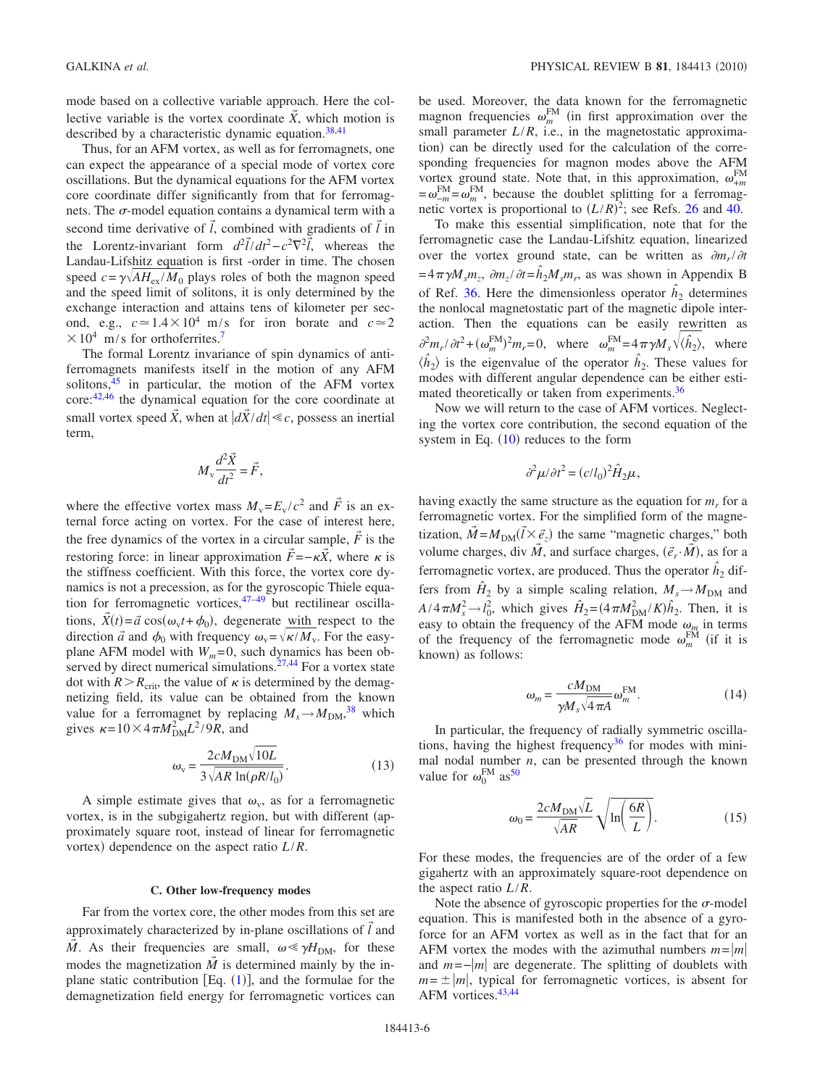mode based on a collective variable approach. Here the collective variable is the vortex coordinate  $\vec{X}$ , which motion is described by a characteristic dynamic equation. $38,41$  $38,41$ 

Thus, for an AFM vortex, as well as for ferromagnets, one can expect the appearance of a special mode of vortex core oscillations. But the dynamical equations for the AFM vortex core coordinate differ significantly from that for ferromagnets. The  $\sigma$ -model equation contains a dynamical term with a second time derivative of  $\vec{l}$ , combined with gradients of  $\vec{l}$  in the Lorentz-invariant form  $d^2\vec{l}/dt^2 - c^2\nabla^2\vec{l}$ , whereas the Landau-Lifshitz equation is first -order in time. The chosen speed  $c = \gamma \sqrt{AH_{\text{ex}}/M_0}$  plays roles of both the magnon speed and the speed limit of solitons, it is only determined by the exchange interaction and attains tens of kilometer per second, e.g.,  $c \approx 1.4 \times 10^4$  m/s for iron borate and  $c \approx 2$  $\times 10^4$  m/s for orthoferrites.<sup>7</sup>

The formal Lorentz invariance of spin dynamics of antiferromagnets manifests itself in the motion of any AFM solitons, $45$  in particular, the motion of the AFM vortex core[:42](#page-7-30)[,46](#page-7-35) the dynamical equation for the core coordinate at small vortex speed  $\vec{X}$ , when at  $|\vec{dX}/dt| \ll c$ , possess an inertial term,

$$
M_{\rm v} \frac{d^2 \vec{X}}{dt^2} = \vec{F},
$$

where the effective vortex mass  $M_v = E_v / c^2$  and  $\vec{F}$  is an external force acting on vortex. For the case of interest here, the free dynamics of the vortex in a circular sample,  $\vec{F}$  is the restoring force: in linear approximation  $\vec{F} = -\kappa \vec{X}$ , where  $\kappa$  is the stiffness coefficient. With this force, the vortex core dynamics is not a precession, as for the gyroscopic Thiele equation for ferromagnetic vortices, $47-49$  $47-49$  but rectilinear oscillations,  $\vec{X}(t) = \vec{a} \cos(\omega_v t + \phi_0)$ , degenerate <u>with respect</u> to the direction  $\vec{a}$  and  $\phi_0$  with frequency  $\omega_v = \sqrt{\kappa/M_v}$ . For the easyplane AFM model with  $W_m = 0$ , such dynamics has been ob-served by direct numerical simulations.<sup>27,[44](#page-7-33)</sup> For a vortex state dot with  $R > R_{\text{crit}}$ , the value of  $\kappa$  is determined by the demagnetizing field, its value can be obtained from the known value for a ferromagnet by replacing  $M_s \rightarrow M_{\text{DM}}^{38}$  $M_s \rightarrow M_{\text{DM}}^{38}$  $M_s \rightarrow M_{\text{DM}}^{38}$  which gives  $\kappa = 10 \times 4 \pi M_{\text{DM}}^2 L^2 / 9R$ , and

$$
\omega_{\rm v} = \frac{2cM_{\rm DM}\sqrt{10L}}{3\sqrt{AR\ln(\rho R/l_0)}}.\tag{13}
$$

A simple estimate gives that  $\omega_{v}$ , as for a ferromagnetic vortex, is in the subgigahertz region, but with different (approximately square root, instead of linear for ferromagnetic vortex) dependence on the aspect ratio  $L/R$ .

#### **C. Other low-frequency modes**

Far from the vortex core, the other modes from this set are approximately characterized by in-plane oscillations of  $\vec{l}$  and  $\vec{M}$ . As their frequencies are small,  $\omega \ll \gamma H_{\text{DM}}$ , for these modes the magnetization  $\tilde{M}$  is determined mainly by the inplane static contribution  $[Eq. (1)]$  $[Eq. (1)]$  $[Eq. (1)]$ , and the formulae for the demagnetization field energy for ferromagnetic vortices can

be used. Moreover, the data known for the ferromagnetic magnon frequencies  $\omega_m^{\text{FM}}$  (in first approximation over the small parameter  $L/R$ , i.e., in the magnetostatic approximation) can be directly used for the calculation of the corresponding frequencies for magnon modes above the AFM vortex ground state. Note that, in this approximation,  $\omega_{+m}^{\text{FM}}$  $=\omega_{-m}^{\text{FM}} = \omega_{m}^{\text{FM}}$ , because the doublet splitting for a ferromagnetic vortex is proportional to  $(L/R)^2$ ; see Refs. [26](#page-7-16) and [40.](#page-7-28)

To make this essential simplification, note that for the ferromagnetic case the Landau-Lifshitz equation, linearized over the vortex ground state, can be written as  $\partial m_r / \partial t$  $= 4\pi \gamma M_s m_z$ ,  $\partial m_z/\partial t = \hat{h}_2 M_s m_r$ , as was shown in Appendix B of Ref. [36.](#page-7-32) Here the dimensionless operator  $\hat{h}_2$  determines the nonlocal magnetostatic part of the magnetic dipole interaction. Then the equations can be easily rewritten as  $\frac{\partial^2 m_r}{\partial t^2 + (\omega_m^{\text{FM}})^2 m_r = 0}$ , where  $\omega_m^{\text{FM}} = 4 \pi \gamma M_s \sqrt{\langle \hat{h}_2 \rangle}$ , where  $\langle \hat{h}_2 \rangle$  is the eigenvalue of the operator  $\hat{h}_2$ . These values for modes with different angular dependence can be either estimated theoretically or taken from experiments.<sup>36</sup>

Now we will return to the case of AFM vortices. Neglecting the vortex core contribution, the second equation of the system in Eq.  $(10)$  $(10)$  $(10)$  reduces to the form

$$
\partial^2 \mu / \partial t^2 = (c/l_0)^2 \hat{H}_2 \mu,
$$

having exactly the same structure as the equation for  $m_r$  for a ferromagnetic vortex. For the simplified form of the magnetization,  $\vec{M} = M_{DM}(\vec{l} \times \vec{e}_z)$  the same "magnetic charges," both volume charges, div  $\vec{M}$ , and surface charges,  $(\vec{e}_r \cdot \vec{M})$ , as for a ferromagnetic vortex, are produced. Thus the operator  $\hat{h}_2$  differs from  $H_2$  by a simple scaling relation,  $M_s \rightarrow M_{DM}$  and  $A/4\pi M_s^2 \rightarrow l_0^2$ , which gives  $\hat{H}_2 = (4\pi M_{DM}^2/K)\hat{h}_2$ . Then, it is easy to obtain the frequency of the AFM mode  $\omega_m$  in terms of the frequency of the ferromagnetic mode  $\omega_m^{\text{FM}}$  (if it is known) as follows:

$$
\omega_m = \frac{cM_{\text{DM}}}{\gamma M_s \sqrt{4\pi A}} \omega_m^{\text{FM}}.
$$
\n(14)

In particular, the frequency of radially symmetric oscillations, having the highest frequency<sup>36</sup> for modes with minimal nodal number  $n$ , can be presented through the known value for  $\omega_0^{\text{FM}}$  as<sup>50</sup>

$$
\omega_0 = \frac{2cM_{\text{DM}}\sqrt{L}}{\sqrt{AR}}\sqrt{\ln\left(\frac{6R}{L}\right)}.
$$
\n(15)

For these modes, the frequencies are of the order of a few gigahertz with an approximately square-root dependence on the aspect ratio *L*/*R*.

Note the absence of gyroscopic properties for the  $\sigma$ -model equation. This is manifested both in the absence of a gyroforce for an AFM vortex as well as in the fact that for an AFM vortex the modes with the azimuthal numbers  $m = |m|$ and  $m = -|m|$  are degenerate. The splitting of doublets with  $m = \pm |m|$ , typical for ferromagnetic vortices, is absent for AFM vortices.<sup>43,[44](#page-7-33)</sup>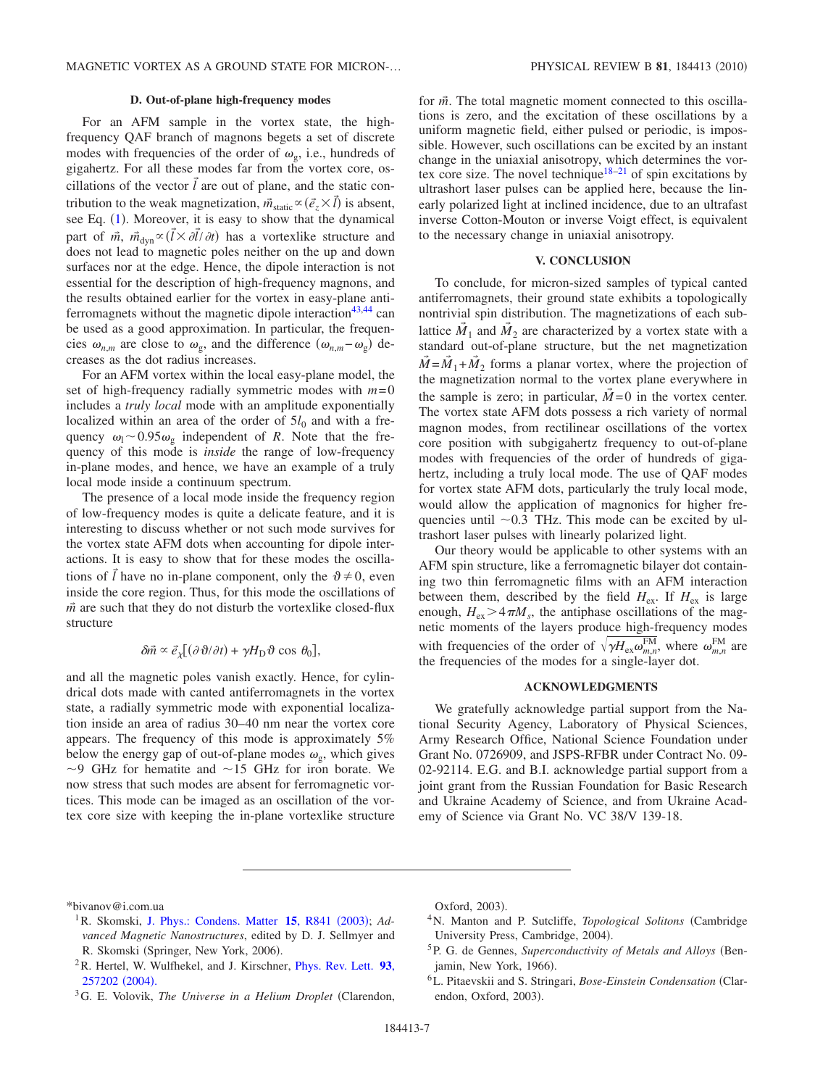## **D. Out-of-plane high-frequency modes**

For an AFM sample in the vortex state, the highfrequency QAF branch of magnons begets a set of discrete modes with frequencies of the order of  $\omega_{\rm g}$ , i.e., hundreds of gigahertz. For all these modes far from the vortex core, oscillations of the vector  $\vec{l}$  are out of plane, and the static contribution to the weak magnetization,  $\vec{m}_{static} \propto (\vec{e}_z \times \vec{l})$  is absent, see Eq.  $(1)$  $(1)$  $(1)$ . Moreover, it is easy to show that the dynamical part of  $\vec{m}$ ,  $\vec{m}_{dyn} \propto (\vec{l} \times \partial \vec{l}/\partial t)$  has a vortexlike structure and does not lead to magnetic poles neither on the up and down surfaces nor at the edge. Hence, the dipole interaction is not essential for the description of high-frequency magnons, and the results obtained earlier for the vortex in easy-plane anti-ferromagnets without the magnetic dipole interaction<sup>43[,44](#page-7-33)</sup> can be used as a good approximation. In particular, the frequencies  $\omega_{n,m}$  are close to  $\omega_{g}$ , and the difference  $(\omega_{n,m} - \omega_{g})$  decreases as the dot radius increases.

For an AFM vortex within the local easy-plane model, the set of high-frequency radially symmetric modes with *m*= 0 includes a *truly local* mode with an amplitude exponentially localized within an area of the order of  $5l_0$  and with a frequency  $\omega_1 \sim 0.95 \omega_g$  independent of *R*. Note that the frequency of this mode is *inside* the range of low-frequency in-plane modes, and hence, we have an example of a truly local mode inside a continuum spectrum.

The presence of a local mode inside the frequency region of low-frequency modes is quite a delicate feature, and it is interesting to discuss whether or not such mode survives for the vortex state AFM dots when accounting for dipole interactions. It is easy to show that for these modes the oscillations of  $\vec{l}$  have no in-plane component, only the  $\vartheta \neq 0$ , even inside the core region. Thus, for this mode the oscillations of  $\vec{m}$  are such that they do not disturb the vortexlike closed-flux structure

$$
\delta \vec{m} \propto \vec{e}_{\chi} [(\partial \vartheta / \partial t) + \gamma H_{\rm D} \vartheta \cos \theta_0],
$$

and all the magnetic poles vanish exactly. Hence, for cylindrical dots made with canted antiferromagnets in the vortex state, a radially symmetric mode with exponential localization inside an area of radius 30–40 nm near the vortex core appears. The frequency of this mode is approximately 5% below the energy gap of out-of-plane modes  $\omega_{\rm g}$ , which gives  $\sim$ 9 GHz for hematite and  $\sim$  15 GHz for iron borate. We now stress that such modes are absent for ferromagnetic vortices. This mode can be imaged as an oscillation of the vortex core size with keeping the in-plane vortexlike structure for *m*. The total magnetic moment connected to this oscillations is zero, and the excitation of these oscillations by a uniform magnetic field, either pulsed or periodic, is impossible. However, such oscillations can be excited by an instant change in the uniaxial anisotropy, which determines the vor-tex core size. The novel technique<sup>18–[21](#page-7-11)</sup> of spin excitations by ultrashort laser pulses can be applied here, because the linearly polarized light at inclined incidence, due to an ultrafast inverse Cotton-Mouton or inverse Voigt effect, is equivalent to the necessary change in uniaxial anisotropy.

#### **V. CONCLUSION**

To conclude, for micron-sized samples of typical canted antiferromagnets, their ground state exhibits a topologically nontrivial spin distribution. The magnetizations of each sublattice  $\vec{M}_1$  and  $\vec{M}_2$  are characterized by a vortex state with a standard out-of-plane structure, but the net magnetization  $\overline{M} = \overline{M}_1 + \overline{M}_2$  forms a planar vortex, where the projection of the magnetization normal to the vortex plane everywhere in the sample is zero; in particular,  $\tilde{M}=0$  in the vortex center. The vortex state AFM dots possess a rich variety of normal magnon modes, from rectilinear oscillations of the vortex core position with subgigahertz frequency to out-of-plane modes with frequencies of the order of hundreds of gigahertz, including a truly local mode. The use of QAF modes for vortex state AFM dots, particularly the truly local mode, would allow the application of magnonics for higher frequencies until  $\sim$ 0.3 THz. This mode can be excited by ultrashort laser pulses with linearly polarized light.

Our theory would be applicable to other systems with an AFM spin structure, like a ferromagnetic bilayer dot containing two thin ferromagnetic films with an AFM interaction between them, described by the field  $H_{ex}$ . If  $H_{ex}$  is large enough,  $H_{ex}$  > 4 $\pi M_s$ , the antiphase oscillations of the magnetic moments of the layers produce high-frequency modes with frequencies of the order of  $\sqrt{\gamma H_{\text{ex}} \omega_{m,n}^{\text{FM}}}$ , where  $\omega_{m,n}^{\text{FM}}$  are the frequencies of the modes for a single-layer dot.

#### **ACKNOWLEDGMENTS**

We gratefully acknowledge partial support from the National Security Agency, Laboratory of Physical Sciences, Army Research Office, National Science Foundation under Grant No. 0726909, and JSPS-RFBR under Contract No. 09- 02-92114. E.G. and B.I. acknowledge partial support from a joint grant from the Russian Foundation for Basic Research and Ukraine Academy of Science, and from Ukraine Academy of Science via Grant No. VC 38/V 139-18.

<span id="page-6-0"></span>\*bivanov@i.com.ua

- <span id="page-6-1"></span><sup>1</sup> R. Skomski, [J. Phys.: Condens. Matter](http://dx.doi.org/10.1088/0953-8984/15/20/202) 15, R841 (2003); Ad*vanced Magnetic Nanostructures*, edited by D. J. Sellmyer and R. Skomski (Springer, New York, 2006).
- <span id="page-6-2"></span>2R. Hertel, W. Wulfhekel, and J. Kirschner, [Phys. Rev. Lett.](http://dx.doi.org/10.1103/PhysRevLett.93.257202) **93**, [257202](http://dx.doi.org/10.1103/PhysRevLett.93.257202) (2004).
- <span id="page-6-3"></span>3G. E. Volovik, *The Universe in a Helium Droplet* Clarendon,

Oxford, 2003).

- <span id="page-6-4"></span>4N. Manton and P. Sutcliffe, *Topological Solitons* Cambridge University Press, Cambridge, 2004).
- <span id="page-6-5"></span><sup>5</sup>P. G. de Gennes, *Superconductivity of Metals and Alloys* (Benjamin, New York, 1966).
- <span id="page-6-6"></span>6L. Pitaevskii and S. Stringari, *Bose-Einstein Condensation* Clarendon, Oxford, 2003).